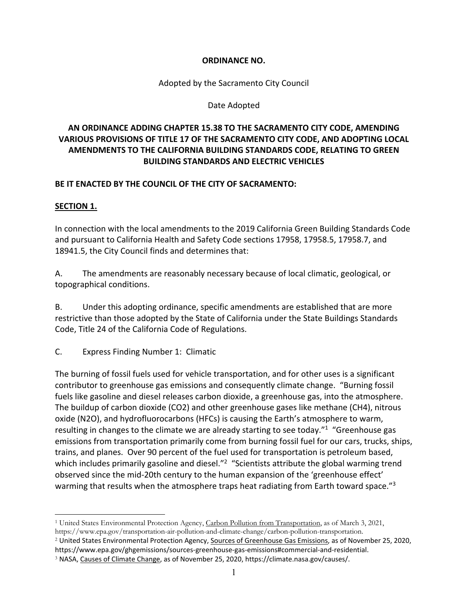#### **ORDINANCE NO.**

Adopted by the Sacramento City Council

Date Adopted

## **AN ORDINANCE ADDING CHAPTER 15.38 TO THE SACRAMENTO CITY CODE, AMENDING VARIOUS PROVISIONS OF TITLE 17 OF THE SACRAMENTO CITY CODE, AND ADOPTING LOCAL AMENDMENTS TO THE CALIFORNIA BUILDING STANDARDS CODE, RELATING TO GREEN BUILDING STANDARDS AND ELECTRIC VEHICLES**

### **BE IT ENACTED BY THE COUNCIL OF THE CITY OF SACRAMENTO:**

#### **SECTION 1.**

In connection with the local amendments to the 2019 California Green Building Standards Code and pursuant to California Health and Safety Code sections 17958, 17958.5, 17958.7, and 18941.5, the City Council finds and determines that:

A. The amendments are reasonably necessary because of local climatic, geological, or topographical conditions.

B. Under this adopting ordinance, specific amendments are established that are more restrictive than those adopted by the State of California under the State Buildings Standards Code, Title 24 of the California Code of Regulations.

C. Express Finding Number 1: Climatic

The burning of fossil fuels used for vehicle transportation, and for other uses is a significant contributor to greenhouse gas emissions and consequently climate change. "Burning fossil fuels like gasoline and diesel releases carbon dioxide, a greenhouse gas, into the atmosphere. The buildup of carbon dioxide (CO2) and other greenhouse gases like methane (CH4), nitrous oxide (N2O), and hydrofluorocarbons (HFCs) is causing the Earth's atmosphere to warm, resulting in changes to the climate we are already starting to see today."<sup>1</sup> "Greenhouse gas emissions from transportation primarily come from burning fossil fuel for our cars, trucks, ships, trains, and planes. Over 90 percent of the fuel used for transportation is petroleum based, which includes primarily gasoline and diesel."<sup>2</sup> "Scientists attribute the global warming trend observed since the mid‐20th century to the human expansion of the 'greenhouse effect' warming that results when the atmosphere traps heat radiating from Earth toward space."<sup>3</sup>

<sup>&</sup>lt;sup>1</sup> United States Environmental Protection Agency, Carbon Pollution from Transportation, as of March 3, 2021, https://www.epa.gov/transportation-air-pollution-and-climate-change/carbon-pollution-transportation.<br><sup>2</sup> United States Environmental Protection Agency, Sources of Greenhouse Gas Emissions, as of November 25, 2020,

https://www.epa.gov/ghgemissions/sources‐greenhouse‐gas‐emissions#commercial‐and‐residential.

<sup>3</sup> NASA, Causes of Climate Change, as of November 25, 2020, https://climate.nasa.gov/causes/.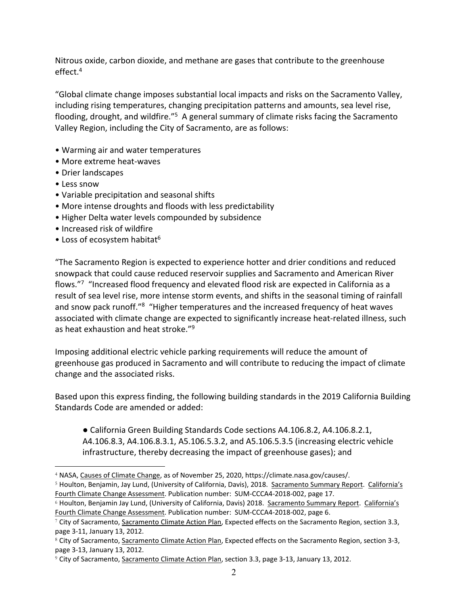Nitrous oxide, carbon dioxide, and methane are gases that contribute to the greenhouse effect.4

"Global climate change imposes substantial local impacts and risks on the Sacramento Valley, including rising temperatures, changing precipitation patterns and amounts, sea level rise, flooding, drought, and wildfire."<sup>5</sup> A general summary of climate risks facing the Sacramento Valley Region, including the City of Sacramento, are as follows:

- Warming air and water temperatures
- More extreme heat‐waves
- Drier landscapes
- Less snow
- Variable precipitation and seasonal shifts
- More intense droughts and floods with less predictability
- Higher Delta water levels compounded by subsidence
- Increased risk of wildfire
- Loss of ecosystem habitat<sup>6</sup>

"The Sacramento Region is expected to experience hotter and drier conditions and reduced snowpack that could cause reduced reservoir supplies and Sacramento and American River flows."<sup>7</sup> "Increased flood frequency and elevated flood risk are expected in California as a result of sea level rise, more intense storm events, and shifts in the seasonal timing of rainfall and snow pack runoff."<sup>8</sup> "Higher temperatures and the increased frequency of heat waves associated with climate change are expected to significantly increase heat-related illness, such as heat exhaustion and heat stroke."9

Imposing additional electric vehicle parking requirements will reduce the amount of greenhouse gas produced in Sacramento and will contribute to reducing the impact of climate change and the associated risks.

Based upon this express finding, the following building standards in the 2019 California Building Standards Code are amended or added:

● California Green Building Standards Code sections A4.106.8.2, A4.106.8.2.1, A4.106.8.3, A4.106.8.3.1, A5.106.5.3.2, and A5.106.5.3.5 (increasing electric vehicle infrastructure, thereby decreasing the impact of greenhouse gases); and

<sup>4</sup> NASA, Causes of Climate Change, as of November 25, 2020, https://climate.nasa.gov/causes/.

<sup>5</sup> Houlton, Benjamin, Jay Lund, (University of California, Davis), 2018. Sacramento Summary Report. California's Fourth Climate Change Assessment. Publication number: SUM‐CCCA4‐2018‐002, page 17.

<sup>&</sup>lt;sup>6</sup> Houlton, Benjamin Jay Lund, (University of California, Davis) 2018. Sacramento Summary Report. California's Fourth Climate Change Assessment. Publication number: SUM‐CCCA4‐2018‐002, page 6.

<sup>7</sup> City of Sacramento, Sacramento Climate Action Plan, Expected effects on the Sacramento Region, section 3.3, page 3‐11, January 13, 2012.

<sup>8</sup> City of Sacramento, Sacramento Climate Action Plan, Expected effects on the Sacramento Region, section 3-3, page 3‐13, January 13, 2012.

<sup>9</sup> City of Sacramento, Sacramento Climate Action Plan, section 3.3, page 3‐13, January 13, 2012.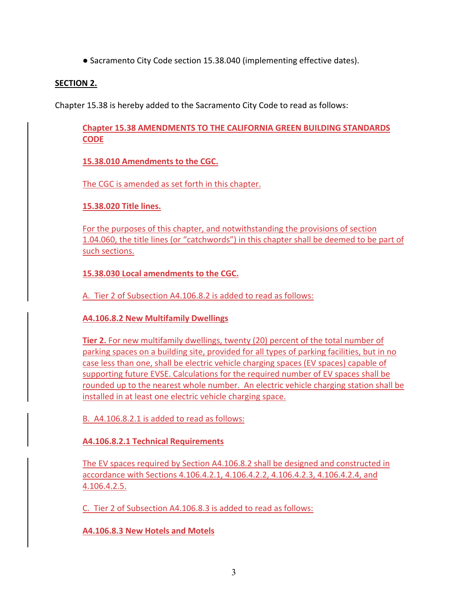● Sacramento City Code section 15.38.040 (implementing effective dates).

### **SECTION 2.**

Chapter 15.38 is hereby added to the Sacramento City Code to read as follows:

**Chapter 15.38 AMENDMENTS TO THE CALIFORNIA GREEN BUILDING STANDARDS CODE** 

**15.38.010 Amendments to the CGC.**

The CGC is amended as set forth in this chapter.

**15.38.020 Title lines.**

For the purposes of this chapter, and notwithstanding the provisions of section 1.04.060, the title lines (or "catchwords") in this chapter shall be deemed to be part of such sections.

**15.38.030 Local amendments to the CGC.**

A. Tier 2 of Subsection A4.106.8.2 is added to read as follows:

**A4.106.8.2 New Multifamily Dwellings** 

**Tier 2.** For new multifamily dwellings, twenty (20) percent of the total number of parking spaces on a building site, provided for all types of parking facilities, but in no case less than one, shall be electric vehicle charging spaces (EV spaces) capable of supporting future EVSE. Calculations for the required number of EV spaces shall be rounded up to the nearest whole number. An electric vehicle charging station shall be installed in at least one electric vehicle charging space.

B. A4.106.8.2.1 is added to read as follows:

**A4.106.8.2.1 Technical Requirements**

The EV spaces required by Section A4.106.8.2 shall be designed and constructed in accordance with Sections 4.106.4.2.1, 4.106.4.2.2, 4.106.4.2.3, 4.106.4.2.4, and 4.106.4.2.5.

C. Tier 2 of Subsection A4.106.8.3 is added to read as follows:

**A4.106.8.3 New Hotels and Motels**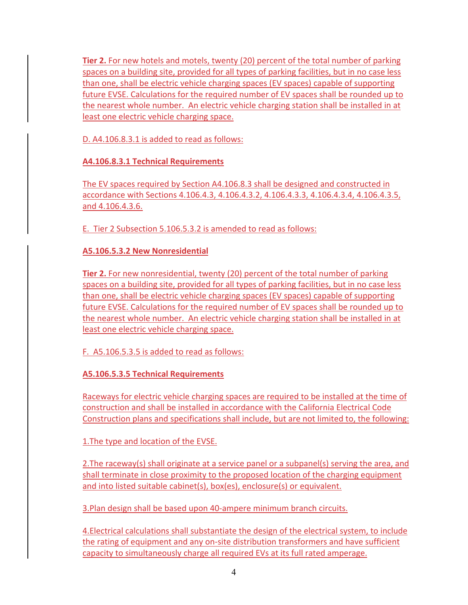**Tier 2.** For new hotels and motels, twenty (20) percent of the total number of parking spaces on a building site, provided for all types of parking facilities, but in no case less than one, shall be electric vehicle charging spaces (EV spaces) capable of supporting future EVSE. Calculations for the required number of EV spaces shall be rounded up to the nearest whole number. An electric vehicle charging station shall be installed in at least one electric vehicle charging space.

D. A4.106.8.3.1 is added to read as follows:

**A4.106.8.3.1 Technical Requirements**

The EV spaces required by Section A4.106.8.3 shall be designed and constructed in accordance with Sections 4.106.4.3, 4.106.4.3.2, 4.106.4.3.3, 4.106.4.3.4, 4.106.4.3.5, and 4.106.4.3.6.

E. Tier 2 Subsection 5.106.5.3.2 is amended to read as follows:

**A5.106.5.3.2 New Nonresidential**

**Tier 2.** For new nonresidential, twenty (20) percent of the total number of parking spaces on a building site, provided for all types of parking facilities, but in no case less than one, shall be electric vehicle charging spaces (EV spaces) capable of supporting future EVSE. Calculations for the required number of EV spaces shall be rounded up to the nearest whole number. An electric vehicle charging station shall be installed in at least one electric vehicle charging space.

F. A5.106.5.3.5 is added to read as follows:

**A5.106.5.3.5 Technical Requirements**

Raceways for electric vehicle charging spaces are required to be installed at the time of construction and shall be installed in accordance with the California Electrical Code Construction plans and specifications shall include, but are not limited to, the following:

1.The type and location of the EVSE.

2.The raceway(s) shall originate at a service panel or a subpanel(s) serving the area, and shall terminate in close proximity to the proposed location of the charging equipment and into listed suitable cabinet(s), box(es), enclosure(s) or equivalent.

3.Plan design shall be based upon 40‐ampere minimum branch circuits.

4.Electrical calculations shall substantiate the design of the electrical system, to include the rating of equipment and any on‐site distribution transformers and have sufficient capacity to simultaneously charge all required EVs at its full rated amperage.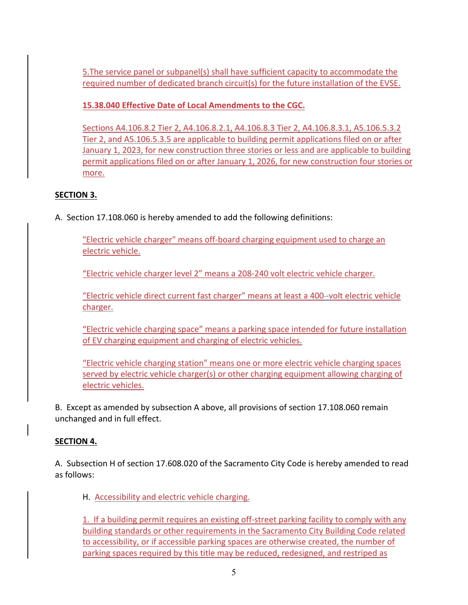5.The service panel or subpanel(s) shall have sufficient capacity to accommodate the required number of dedicated branch circuit(s) for the future installation of the EVSE.

**15.38.040 Effective Date of Local Amendments to the CGC.** 

Sections A4.106.8.2 Tier 2, A4.106.8.2.1, A4.106.8.3 Tier 2, A4.106.8.3.1, A5.106.5.3.2 Tier 2, and A5.106.5.3.5 are applicable to building permit applications filed on or after January 1, 2023, for new construction three stories or less and are applicable to building permit applications filed on or after January 1, 2026, for new construction four stories or more.

# **SECTION 3.**

A. Section 17.108.060 is hereby amended to add the following definitions:

"Electric vehicle charger" means off‐board charging equipment used to charge an electric vehicle.

"Electric vehicle charger level 2" means a 208‐240 volt electric vehicle charger.

"Electric vehicle direct current fast charger" means at least a 400 ‐volt electric vehicle charger.

"Electric vehicle charging space" means a parking space intended for future installation of EV charging equipment and charging of electric vehicles.

"Electric vehicle charging station" means one or more electric vehicle charging spaces served by electric vehicle charger(s) or other charging equipment allowing charging of electric vehicles.

B. Except as amended by subsection A above, all provisions of section 17.108.060 remain unchanged and in full effect.

# **SECTION 4.**

A. Subsection H of section 17.608.020 of the Sacramento City Code is hereby amended to read as follows:

H. Accessibility and electric vehicle charging.

1. If a building permit requires an existing off‐street parking facility to comply with any building standards or other requirements in the Sacramento City Building Code related to accessibility, or if accessible parking spaces are otherwise created, the number of parking spaces required by this title may be reduced, redesigned, and restriped as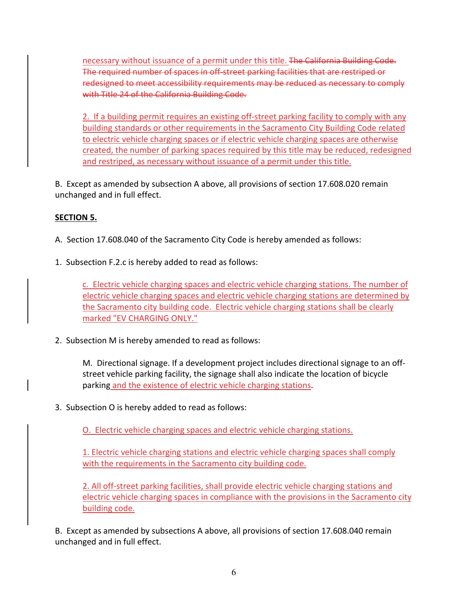necessary without issuance of a permit under this title. The California Building Code. The required number of spaces in off‐street parking facilities that are restriped or redesigned to meet accessibility requirements may be reduced as necessary to comply with Title 24 of the California Building Code.

2. If a building permit requires an existing off‐street parking facility to comply with any building standards or other requirements in the Sacramento City Building Code related to electric vehicle charging spaces or if electric vehicle charging spaces are otherwise created, the number of parking spaces required by this title may be reduced, redesigned and restriped, as necessary without issuance of a permit under this title.

B. Except as amended by subsection A above, all provisions of section 17.608.020 remain unchanged and in full effect.

# **SECTION 5.**

- A. Section 17.608.040 of the Sacramento City Code is hereby amended as follows:
- 1. Subsection F.2.c is hereby added to read as follows:

c. Electric vehicle charging spaces and electric vehicle charging stations. The number of electric vehicle charging spaces and electric vehicle charging stations are determined by the Sacramento city building code. Electric vehicle charging stations shall be clearly marked "EV CHARGING ONLY."

2. Subsection M is hereby amended to read as follows:

M. Directional signage. If a development project includes directional signage to an off‐ street vehicle parking facility, the signage shall also indicate the location of bicycle parking and the existence of electric vehicle charging stations.

3. Subsection O is hereby added to read as follows:

O. Electric vehicle charging spaces and electric vehicle charging stations.

1. Electric vehicle charging stations and electric vehicle charging spaces shall comply with the requirements in the Sacramento city building code.

2. All off‐street parking facilities, shall provide electric vehicle charging stations and electric vehicle charging spaces in compliance with the provisions in the Sacramento city building code.

B. Except as amended by subsections A above, all provisions of section 17.608.040 remain unchanged and in full effect.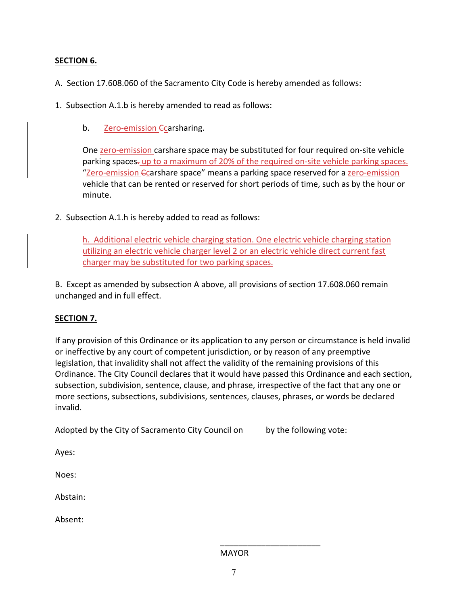### **SECTION 6.**

A. Section 17.608.060 of the Sacramento City Code is hereby amended as follows:

- 1. Subsection A.1.b is hereby amended to read as follows:
	- b. **Zero-emission <del>C</del>carsharing**.

One zero-emission carshare space may be substituted for four required on-site vehicle parking spaces- up to a maximum of 20% of the required on-site vehicle parking spaces. "Zero-emission <del>C</del>carshare space" means a parking space reserved for a zero-emission vehicle that can be rented or reserved for short periods of time, such as by the hour or minute.

2. Subsection A.1.h is hereby added to read as follows:

h. Additional electric vehicle charging station. One electric vehicle charging station utilizing an electric vehicle charger level 2 or an electric vehicle direct current fast charger may be substituted for two parking spaces.

B. Except as amended by subsection A above, all provisions of section 17.608.060 remain unchanged and in full effect.

### **SECTION 7.**

If any provision of this Ordinance or its application to any person or circumstance is held invalid or ineffective by any court of competent jurisdiction, or by reason of any preemptive legislation, that invalidity shall not affect the validity of the remaining provisions of this Ordinance. The City Council declares that it would have passed this Ordinance and each section, subsection, subdivision, sentence, clause, and phrase, irrespective of the fact that any one or more sections, subsections, subdivisions, sentences, clauses, phrases, or words be declared invalid.

Adopted by the City of Sacramento City Council on by the following vote:

 $\overline{\phantom{a}}$  , and the contract of the contract of the contract of the contract of the contract of the contract of the contract of the contract of the contract of the contract of the contract of the contract of the contrac

Ayes:

Noes:

Abstain:

Absent: